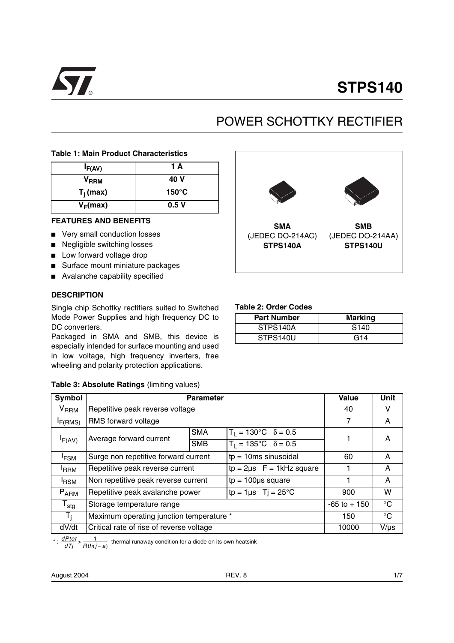

# **STPS140**

# POWER SCHOTTKY RECTIFIER

#### **Table 1: Main Product Characteristics**

| I <sub>F(AV)</sub> | 1 A             |
|--------------------|-----------------|
| V <sub>RRM</sub>   | 40 V            |
| $T_i$ (max)        | $150^{\circ}$ C |
| $V_F(max)$         | 0.5V            |

#### **FEATURES AND BENEFITS**

- Very small conduction losses
- Negligible switching losses
- Low forward voltage drop
- Surface mount miniature packages
- Avalanche capability specified

#### **DESCRIPTION**

Single chip Schottky rectifiers suited to Switched Mode Power Supplies and high frequency DC to DC converters.

Packaged in SMA and SMB, this device is especially intended for surface mounting and used in low voltage, high frequency inverters, free wheeling and polarity protection applications.

#### **Table 3: Absolute Ratings** (limiting values)



\* :  $\frac{dPtot}{dTj}$  >  $\frac{1}{Rth(j-a)}$  thermal runaway condition for a diode on its own heatsink

August 2004

**SMA** (JEDEC DO-214AC) **STPS140A SMB** (JEDEC DO-214AA) **STPS140U**

#### **Table 2: Order Codes**

| <b>Part Number</b> | <b>Marking</b>   |
|--------------------|------------------|
| STPS140A           | S <sub>140</sub> |
| STPS140U           | G14              |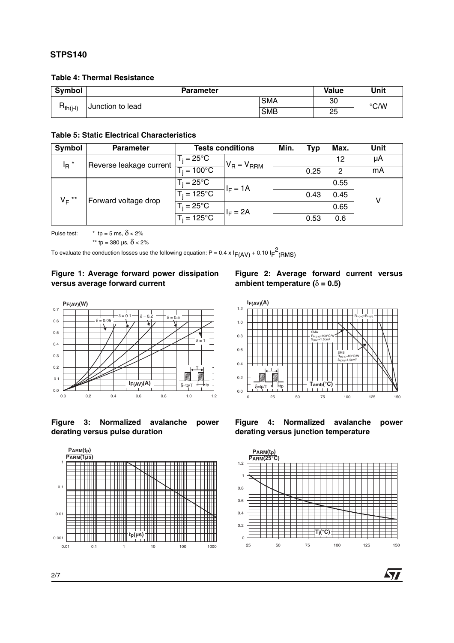#### **Table 4: Thermal Resistance**

| <b>Symbol</b>                     | <b>Parameter</b> |            | <b>Value</b> | Unit |
|-----------------------------------|------------------|------------|--------------|------|
| $R_{th(i-l)}$<br>Junction to lead |                  | <b>SMA</b> | 30           | °C/W |
|                                   |                  | <b>SMB</b> | 25           |      |

#### **Table 5: Static Electrical Characteristics**

| Symbol                                        | <b>Parameter</b>     | <b>Tests conditions</b> |                 | Min. | Typ  | Max. | Unit |
|-----------------------------------------------|----------------------|-------------------------|-----------------|------|------|------|------|
| $I_R$ <sup>*</sup><br>Reverse leakage current |                      | $T_i = 25^{\circ}C$     | $V_R = V_{RRM}$ |      |      | 12   | μA   |
|                                               | $= 100^{\circ}$ C    |                         |                 | 0.25 | 2    | mA   |      |
| $V_F$ **<br>Forward voltage drop              | $T_i = 25^{\circ}C$  | $I_F = 1A$              |                 |      | 0.55 |      |      |
|                                               | $T_i = 125$ °C       |                         |                 | 0.43 | 0.45 | v    |      |
|                                               | $T_i = 25^{\circ}C$  | $I_F = 2A$              |                 |      | 0.65 |      |      |
|                                               | $T_i = 125^{\circ}C$ |                         |                 | 0.53 | 0.6  |      |      |

 $0.0$ 0.2 0.4 0.6 0.8 1.0 1.2 **I (A) F(AV)**

T

 $\overline{\delta}$ =tp/T  $\overline{\phantom{a}}$  **T**<sub>tp</sub>  $\overline{\phantom{a}}$  **T T** amb( $\degree$ **C**)

Pulse test:  $\qquad \times$  tp = 5 ms,  $\delta$  < 2%

\*\* tp = 380 µs,  $\delta$  < 2%

To evaluate the conduction losses use the following equation: P = 0.4 x  $I_{F(\text{AV})}$  + 0.10  $I_{F}^{2}(\text{RMS})$ 

### **Figure 1: Average forward power dissipation versus average forward current**

#### **Figure 2: Average forward current versus ambient temperature (** $\delta$  **= 0.5)**

SMA  $R_{th(i-a)} = 100^{\circ}$ C/W  $S_{(CU)} = 1.5cm$ th(j-a) <sub>(CU)</sub>=1.5cm<sup>2</sup>

 $R_{th(i-a)} = R_{th(i-1)}$ 

**AVI** 









0 25 50 75 100 125 150

SMB  $R_{\rm th (i-a)}$ =80°C/W  $S_{\text{(CU)}}$ =1.5cm th(j-a) <sub>(CU)</sub>=1.5cm<sup>2</sup>



2/7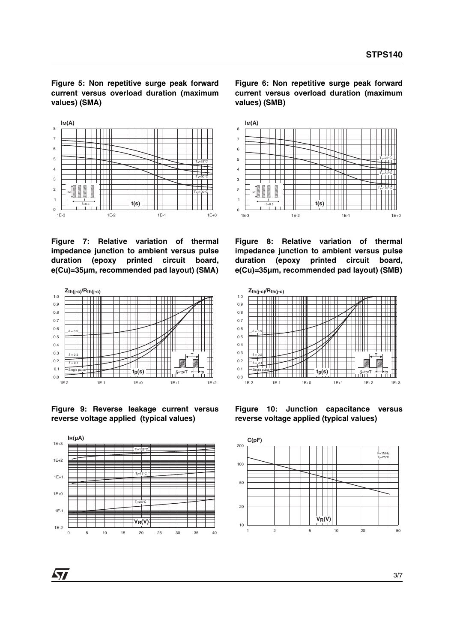**Figure 5: Non repetitive surge peak forward current versus overload duration (maximum values) (SMA)**



**Figure 7: Relative variation of thermal impedance junction to ambient versus pulse duration (epoxy printed circuit board, e(Cu)=35µm, recommended pad layout) (SMA)**



**Figure 9: Reverse leakage current versus reverse voltage applied (typical values)**



**Figure 6: Non repetitive surge peak forward current versus overload duration (maximum values) (SMB)**



**Figure 8: Relative variation of thermal impedance junction to ambient versus pulse duration (epoxy printed circuit board, e(Cu)=35µm, recommended pad layout) (SMB)**



**Figure 10: Junction capacitance versus reverse voltage applied (typical values)**



477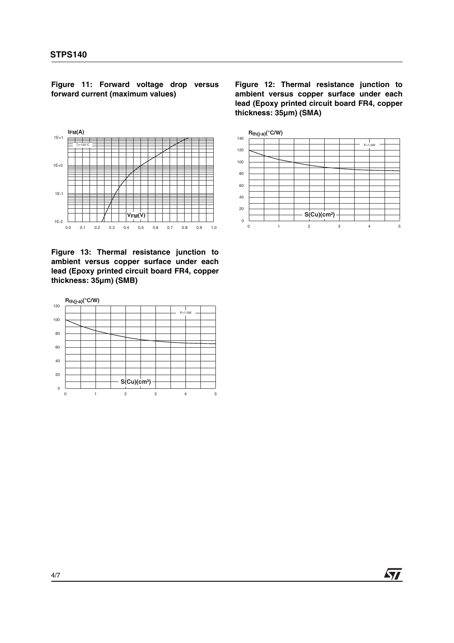**Figure 11: Forward voltage drop versus forward current (maximum values)**



**Figure 13: Thermal resistance junction to ambient versus copper surface under each lead (Epoxy printed circuit board FR4, copper thickness: 35µm) (SMB)**



**Figure 12: Thermal resistance junction to ambient versus copper surface under each lead (Epoxy printed circuit board FR4, copper thickness: 35µm) (SMA)**



**Ayy**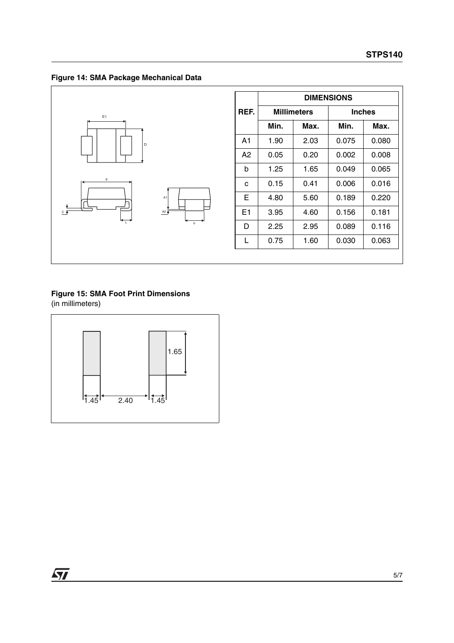**Figure 14: SMA Package Mechanical Data**



|      | <b>DIMENSIONS</b> |                    |               |       |  |
|------|-------------------|--------------------|---------------|-------|--|
| REF. |                   | <b>Millimeters</b> | <b>Inches</b> |       |  |
|      | Min.              | Max.               | Min.          | Max.  |  |
| A1   | 1.90              | 2.03               | 0.075         | 0.080 |  |
| A2   | 0.05              | 0.20               | 0.002         | 0.008 |  |
| b    | 1.25              | 1.65               | 0.049         | 0.065 |  |
| C    | 0.15              | 0.41               | 0.006         | 0.016 |  |
| Е    | 4.80              | 5.60               | 0.189         | 0.220 |  |
| E1   | 3.95              | 4.60               | 0.156         | 0.181 |  |
| D    | 2.25              | 2.95               | 0.089         | 0.116 |  |
| L    | 0.75              | 1.60               | 0.030         | 0.063 |  |
|      |                   |                    |               |       |  |

## **Figure 15: SMA Foot Print Dimensions** (in millimeters)

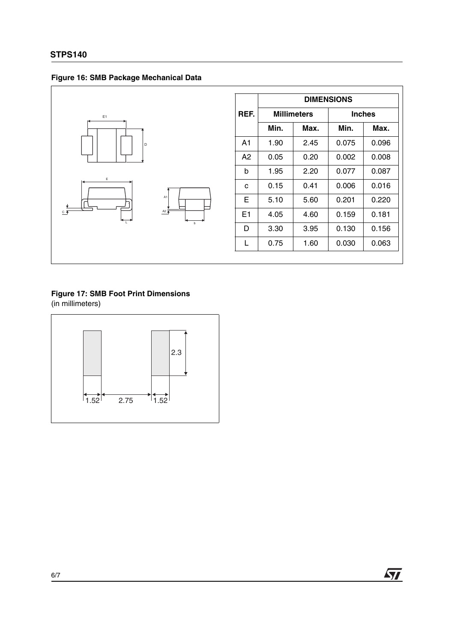



|      | <b>DIMENSIONS</b>  |      |               |       |  |
|------|--------------------|------|---------------|-------|--|
| REF. | <b>Millimeters</b> |      | <b>Inches</b> |       |  |
|      | Min.               | Max. | Min.          | Max.  |  |
| A1   | 1.90               | 2.45 | 0.075         | 0.096 |  |
| A2   | 0.05               | 0.20 | 0.002         | 0.008 |  |
| b    | 1.95               | 2.20 | 0.077         | 0.087 |  |
| C    | 0.15               | 0.41 | 0.006         | 0.016 |  |
| Е    | 5.10               | 5.60 | 0.201         | 0.220 |  |
| E1   | 4.05               | 4.60 | 0.159         | 0.181 |  |
| D    | 3.30               | 3.95 | 0.130         | 0.156 |  |
| L    | 0.75               | 1.60 | 0.030         | 0.063 |  |
|      |                    |      |               |       |  |

# **Figure 17: SMB Foot Print Dimensions** (in millimeters)